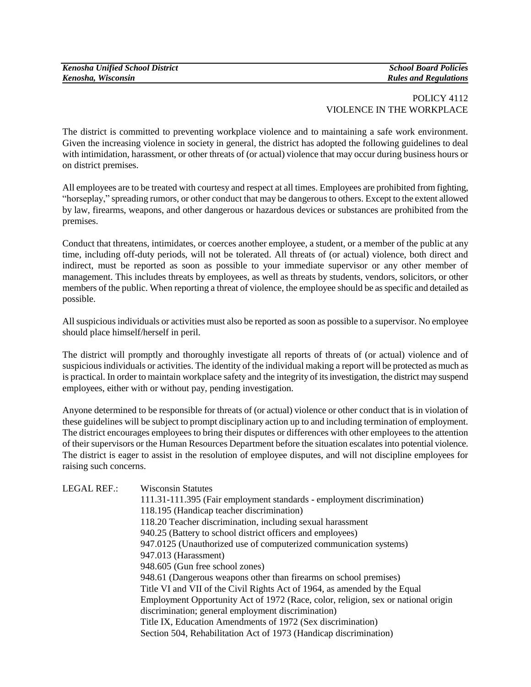## POLICY 4112 VIOLENCE IN THE WORKPLACE

The district is committed to preventing workplace violence and to maintaining a safe work environment. Given the increasing violence in society in general, the district has adopted the following guidelines to deal with intimidation, harassment, or other threats of (or actual) violence that may occur during business hours or on district premises.

All employees are to be treated with courtesy and respect at all times. Employees are prohibited from fighting, "horseplay," spreading rumors, or other conduct that may be dangerous to others. Except to the extent allowed by law, firearms, weapons, and other dangerous or hazardous devices or substances are prohibited from the premises.

Conduct that threatens, intimidates, or coerces another employee, a student, or a member of the public at any time, including off-duty periods, will not be tolerated. All threats of (or actual) violence, both direct and indirect, must be reported as soon as possible to your immediate supervisor or any other member of management. This includes threats by employees, as well as threats by students, vendors, solicitors, or other members of the public. When reporting a threat of violence, the employee should be as specific and detailed as possible.

All suspicious individuals or activities must also be reported as soon as possible to a supervisor. No employee should place himself/herself in peril.

The district will promptly and thoroughly investigate all reports of threats of (or actual) violence and of suspicious individuals or activities. The identity of the individual making a report will be protected as much as is practical. In order to maintain workplace safety and the integrity of its investigation, the district may suspend employees, either with or without pay, pending investigation.

Anyone determined to be responsible for threats of (or actual) violence or other conduct that is in violation of these guidelines will be subject to prompt disciplinary action up to and including termination of employment. The district encourages employees to bring their disputes or differences with other employees to the attention of their supervisors or the Human Resources Department before the situation escalates into potential violence. The district is eager to assist in the resolution of employee disputes, and will not discipline employees for raising such concerns.

| <b>LEGAL REF.:</b> | <b>Wisconsin Statutes</b>                                                         |
|--------------------|-----------------------------------------------------------------------------------|
|                    | 111.31-111.395 (Fair employment standards - employment discrimination)            |
|                    | 118.195 (Handicap teacher discrimination)                                         |
|                    | 118.20 Teacher discrimination, including sexual harassment                        |
|                    | 940.25 (Battery to school district officers and employees)                        |
|                    | 947.0125 (Unauthorized use of computerized communication systems)                 |
|                    | 947.013 (Harassment)                                                              |
|                    | 948.605 (Gun free school zones)                                                   |
|                    | 948.61 (Dangerous weapons other than firearms on school premises)                 |
|                    | Title VI and VII of the Civil Rights Act of 1964, as amended by the Equal         |
|                    | Employment Opportunity Act of 1972 (Race, color, religion, sex or national origin |
|                    | discrimination; general employment discrimination)                                |
|                    | Title IX, Education Amendments of 1972 (Sex discrimination)                       |
|                    | Section 504, Rehabilitation Act of 1973 (Handicap discrimination)                 |
|                    |                                                                                   |